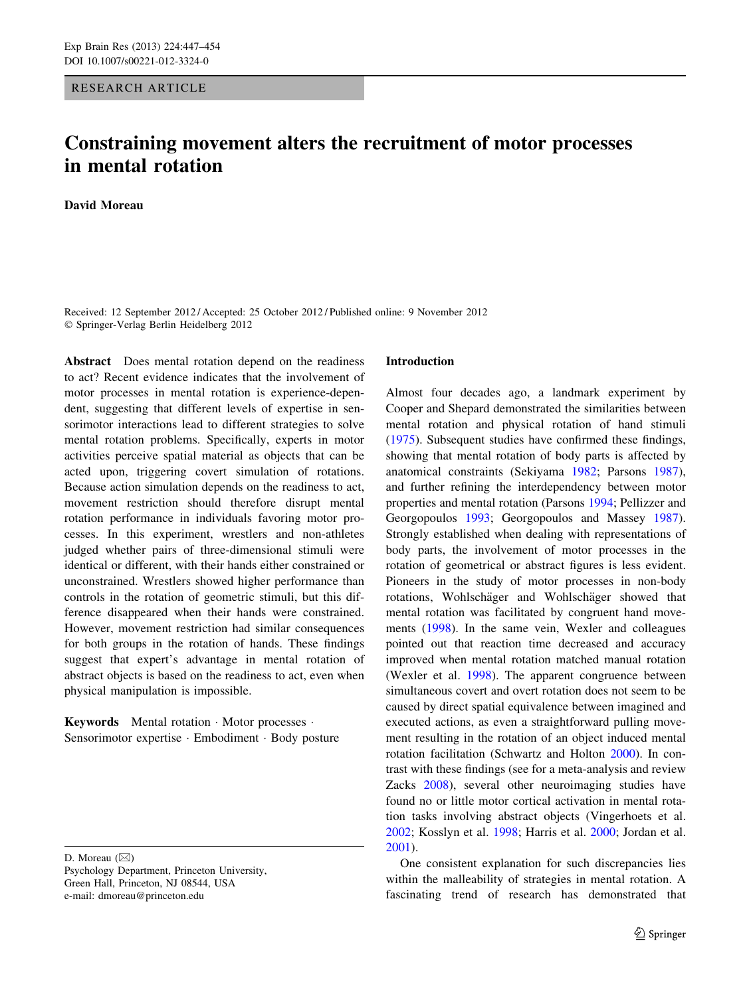# RESEARCH ARTICLE

# Constraining movement alters the recruitment of motor processes in mental rotation

David Moreau

Received: 12 September 2012 / Accepted: 25 October 2012 / Published online: 9 November 2012 - Springer-Verlag Berlin Heidelberg 2012

Abstract Does mental rotation depend on the readiness to act? Recent evidence indicates that the involvement of motor processes in mental rotation is experience-dependent, suggesting that different levels of expertise in sensorimotor interactions lead to different strategies to solve mental rotation problems. Specifically, experts in motor activities perceive spatial material as objects that can be acted upon, triggering covert simulation of rotations. Because action simulation depends on the readiness to act, movement restriction should therefore disrupt mental rotation performance in individuals favoring motor processes. In this experiment, wrestlers and non-athletes judged whether pairs of three-dimensional stimuli were identical or different, with their hands either constrained or unconstrained. Wrestlers showed higher performance than controls in the rotation of geometric stimuli, but this difference disappeared when their hands were constrained. However, movement restriction had similar consequences for both groups in the rotation of hands. These findings suggest that expert's advantage in mental rotation of abstract objects is based on the readiness to act, even when physical manipulation is impossible.

Keywords Mental rotation - Motor processes - Sensorimotor expertise - Embodiment - Body posture

D. Moreau  $(\boxtimes)$ 

Psychology Department, Princeton University, Green Hall, Princeton, NJ 08544, USA e-mail: dmoreau@princeton.edu

#### Introduction

Almost four decades ago, a landmark experiment by Cooper and Shepard demonstrated the similarities between mental rotation and physical rotation of hand stimuli [\(1975](#page-6-0)). Subsequent studies have confirmed these findings, showing that mental rotation of body parts is affected by anatomical constraints (Sekiyama [1982](#page-7-0); Parsons [1987](#page-7-0)), and further refining the interdependency between motor properties and mental rotation (Parsons [1994;](#page-7-0) Pellizzer and Georgopoulos [1993;](#page-7-0) Georgopoulos and Massey [1987](#page-6-0)). Strongly established when dealing with representations of body parts, the involvement of motor processes in the rotation of geometrical or abstract figures is less evident. Pioneers in the study of motor processes in non-body rotations, Wohlschäger and Wohlschäger showed that mental rotation was facilitated by congruent hand movements [\(1998](#page-7-0)). In the same vein, Wexler and colleagues pointed out that reaction time decreased and accuracy improved when mental rotation matched manual rotation (Wexler et al. [1998](#page-7-0)). The apparent congruence between simultaneous covert and overt rotation does not seem to be caused by direct spatial equivalence between imagined and executed actions, as even a straightforward pulling movement resulting in the rotation of an object induced mental rotation facilitation (Schwartz and Holton [2000](#page-7-0)). In contrast with these findings (see for a meta-analysis and review Zacks [2008](#page-7-0)), several other neuroimaging studies have found no or little motor cortical activation in mental rotation tasks involving abstract objects (Vingerhoets et al. [2002](#page-7-0); Kosslyn et al. [1998](#page-6-0); Harris et al. [2000](#page-6-0); Jordan et al. [2001](#page-6-0)).

One consistent explanation for such discrepancies lies within the malleability of strategies in mental rotation. A fascinating trend of research has demonstrated that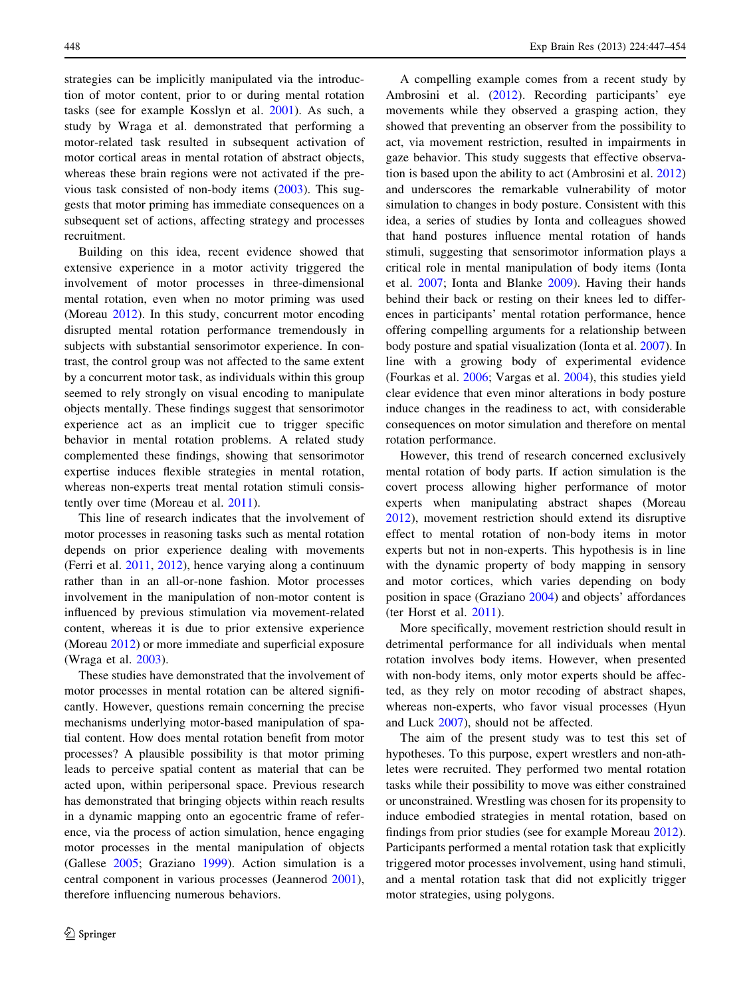strategies can be implicitly manipulated via the introduction of motor content, prior to or during mental rotation tasks (see for example Kosslyn et al. [2001\)](#page-7-0). As such, a study by Wraga et al. demonstrated that performing a motor-related task resulted in subsequent activation of motor cortical areas in mental rotation of abstract objects, whereas these brain regions were not activated if the previous task consisted of non-body items ([2003\)](#page-7-0). This suggests that motor priming has immediate consequences on a subsequent set of actions, affecting strategy and processes recruitment.

Building on this idea, recent evidence showed that extensive experience in a motor activity triggered the involvement of motor processes in three-dimensional mental rotation, even when no motor priming was used (Moreau [2012](#page-7-0)). In this study, concurrent motor encoding disrupted mental rotation performance tremendously in subjects with substantial sensorimotor experience. In contrast, the control group was not affected to the same extent by a concurrent motor task, as individuals within this group seemed to rely strongly on visual encoding to manipulate objects mentally. These findings suggest that sensorimotor experience act as an implicit cue to trigger specific behavior in mental rotation problems. A related study complemented these findings, showing that sensorimotor expertise induces flexible strategies in mental rotation, whereas non-experts treat mental rotation stimuli consistently over time (Moreau et al. [2011\)](#page-7-0).

This line of research indicates that the involvement of motor processes in reasoning tasks such as mental rotation depends on prior experience dealing with movements (Ferri et al. [2011,](#page-6-0) [2012](#page-6-0)), hence varying along a continuum rather than in an all-or-none fashion. Motor processes involvement in the manipulation of non-motor content is influenced by previous stimulation via movement-related content, whereas it is due to prior extensive experience (Moreau [2012\)](#page-7-0) or more immediate and superficial exposure (Wraga et al. [2003](#page-7-0)).

These studies have demonstrated that the involvement of motor processes in mental rotation can be altered significantly. However, questions remain concerning the precise mechanisms underlying motor-based manipulation of spatial content. How does mental rotation benefit from motor processes? A plausible possibility is that motor priming leads to perceive spatial content as material that can be acted upon, within peripersonal space. Previous research has demonstrated that bringing objects within reach results in a dynamic mapping onto an egocentric frame of reference, via the process of action simulation, hence engaging motor processes in the mental manipulation of objects (Gallese [2005;](#page-6-0) Graziano [1999](#page-6-0)). Action simulation is a central component in various processes (Jeannerod [2001](#page-6-0)), therefore influencing numerous behaviors.

A compelling example comes from a recent study by Ambrosini et al. ([2012\)](#page-6-0). Recording participants' eye movements while they observed a grasping action, they showed that preventing an observer from the possibility to act, via movement restriction, resulted in impairments in gaze behavior. This study suggests that effective observation is based upon the ability to act (Ambrosini et al. [2012\)](#page-6-0) and underscores the remarkable vulnerability of motor simulation to changes in body posture. Consistent with this idea, a series of studies by Ionta and colleagues showed that hand postures influence mental rotation of hands stimuli, suggesting that sensorimotor information plays a critical role in mental manipulation of body items (Ionta et al. [2007;](#page-6-0) Ionta and Blanke [2009\)](#page-6-0). Having their hands behind their back or resting on their knees led to differences in participants' mental rotation performance, hence offering compelling arguments for a relationship between body posture and spatial visualization (Ionta et al. [2007\)](#page-6-0). In line with a growing body of experimental evidence (Fourkas et al. [2006](#page-6-0); Vargas et al. [2004](#page-7-0)), this studies yield clear evidence that even minor alterations in body posture induce changes in the readiness to act, with considerable consequences on motor simulation and therefore on mental rotation performance.

However, this trend of research concerned exclusively mental rotation of body parts. If action simulation is the covert process allowing higher performance of motor experts when manipulating abstract shapes (Moreau [2012](#page-7-0)), movement restriction should extend its disruptive effect to mental rotation of non-body items in motor experts but not in non-experts. This hypothesis is in line with the dynamic property of body mapping in sensory and motor cortices, which varies depending on body position in space (Graziano [2004\)](#page-6-0) and objects' affordances (ter Horst et al. [2011](#page-7-0)).

More specifically, movement restriction should result in detrimental performance for all individuals when mental rotation involves body items. However, when presented with non-body items, only motor experts should be affected, as they rely on motor recoding of abstract shapes, whereas non-experts, who favor visual processes (Hyun and Luck [2007\)](#page-6-0), should not be affected.

The aim of the present study was to test this set of hypotheses. To this purpose, expert wrestlers and non-athletes were recruited. They performed two mental rotation tasks while their possibility to move was either constrained or unconstrained. Wrestling was chosen for its propensity to induce embodied strategies in mental rotation, based on findings from prior studies (see for example Moreau [2012](#page-7-0)). Participants performed a mental rotation task that explicitly triggered motor processes involvement, using hand stimuli, and a mental rotation task that did not explicitly trigger motor strategies, using polygons.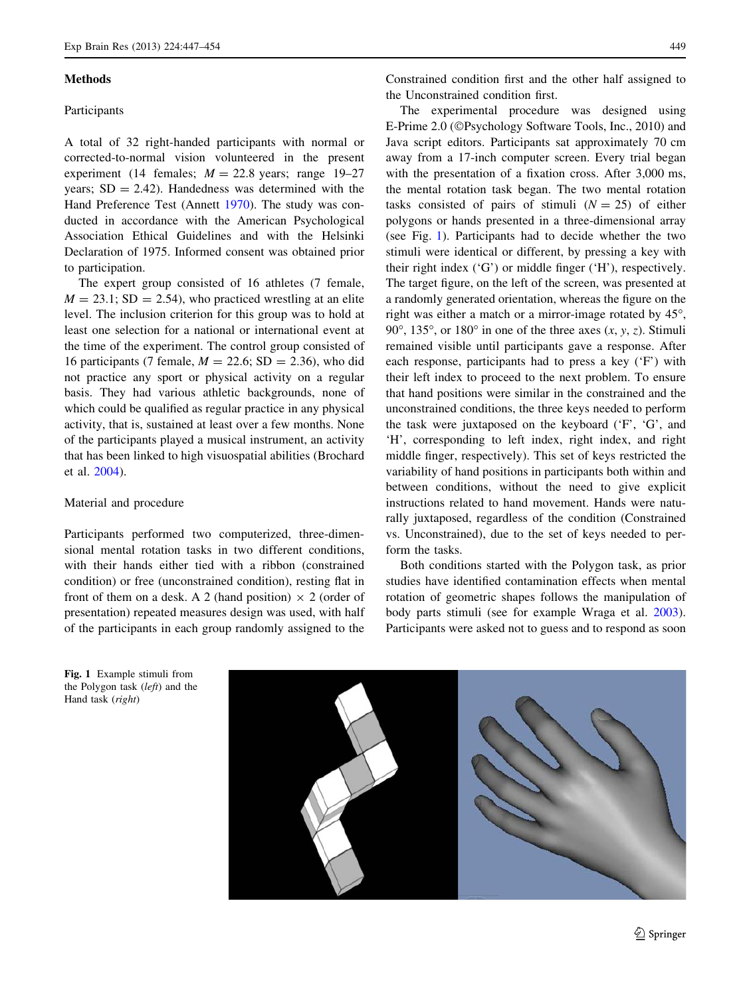#### **Methods**

## Participants

A total of 32 right-handed participants with normal or corrected-to-normal vision volunteered in the present experiment (14 females;  $M = 22.8$  years; range 19–27 years;  $SD = 2.42$ ). Handedness was determined with the Hand Preference Test (Annett [1970](#page-6-0)). The study was conducted in accordance with the American Psychological Association Ethical Guidelines and with the Helsinki Declaration of 1975. Informed consent was obtained prior to participation.

The expert group consisted of 16 athletes (7 female,  $M = 23.1$ ; SD = 2.54), who practiced wrestling at an elite level. The inclusion criterion for this group was to hold at least one selection for a national or international event at the time of the experiment. The control group consisted of 16 participants (7 female,  $M = 22.6$ ; SD = 2.36), who did not practice any sport or physical activity on a regular basis. They had various athletic backgrounds, none of which could be qualified as regular practice in any physical activity, that is, sustained at least over a few months. None of the participants played a musical instrument, an activity that has been linked to high visuospatial abilities (Brochard et al. [2004\)](#page-6-0).

#### Material and procedure

Participants performed two computerized, three-dimensional mental rotation tasks in two different conditions, with their hands either tied with a ribbon (constrained condition) or free (unconstrained condition), resting flat in front of them on a desk. A 2 (hand position)  $\times$  2 (order of presentation) repeated measures design was used, with half of the participants in each group randomly assigned to the Constrained condition first and the other half assigned to the Unconstrained condition first.

The experimental procedure was designed using E-Prime 2.0 (©Psychology Software Tools, Inc., 2010) and Java script editors. Participants sat approximately 70 cm away from a 17-inch computer screen. Every trial began with the presentation of a fixation cross. After 3,000 ms, the mental rotation task began. The two mental rotation tasks consisted of pairs of stimuli  $(N = 25)$  of either polygons or hands presented in a three-dimensional array (see Fig. 1). Participants had to decide whether the two stimuli were identical or different, by pressing a key with their right index ('G') or middle finger ('H'), respectively. The target figure, on the left of the screen, was presented at a randomly generated orientation, whereas the figure on the right was either a match or a mirror-image rotated by  $45^{\circ}$ , 90 $^{\circ}$ , 135 $^{\circ}$ , or 180 $^{\circ}$  in one of the three axes  $(x, y, z)$ . Stimuli remained visible until participants gave a response. After each response, participants had to press a key ('F') with their left index to proceed to the next problem. To ensure that hand positions were similar in the constrained and the unconstrained conditions, the three keys needed to perform the task were juxtaposed on the keyboard ('F', 'G', and 'H', corresponding to left index, right index, and right middle finger, respectively). This set of keys restricted the variability of hand positions in participants both within and between conditions, without the need to give explicit instructions related to hand movement. Hands were naturally juxtaposed, regardless of the condition (Constrained vs. Unconstrained), due to the set of keys needed to perform the tasks.

Both conditions started with the Polygon task, as prior studies have identified contamination effects when mental rotation of geometric shapes follows the manipulation of body parts stimuli (see for example Wraga et al. [2003](#page-7-0)). Participants were asked not to guess and to respond as soon



Fig. 1 Example stimuli from the Polygon task (left) and the Hand task (right)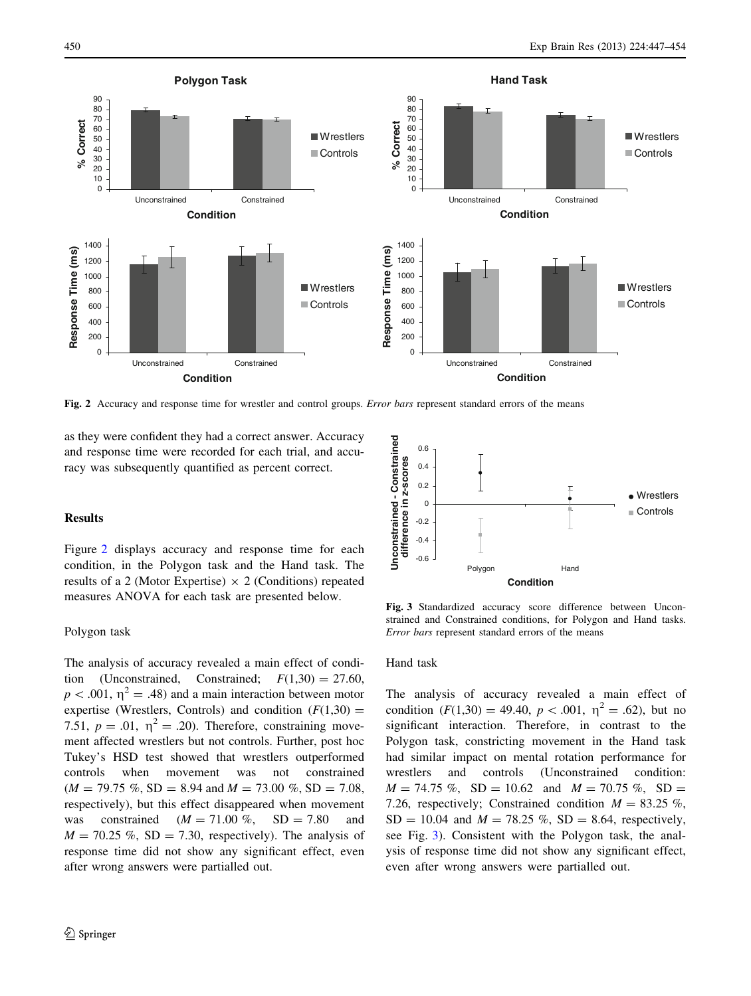

Fig. 2 Accuracy and response time for wrestler and control groups. Error bars represent standard errors of the means

as they were confident they had a correct answer. Accuracy and response time were recorded for each trial, and accuracy was subsequently quantified as percent correct.

## **Results**

Figure 2 displays accuracy and response time for each condition, in the Polygon task and the Hand task. The results of a 2 (Motor Expertise)  $\times$  2 (Conditions) repeated measures ANOVA for each task are presented below.

# Polygon task

The analysis of accuracy revealed a main effect of condition (Unconstrained, Constrained;  $F(1,30) = 27.60$ ,  $p < .001$ ,  $\eta^2 = .48$ ) and a main interaction between motor expertise (Wrestlers, Controls) and condition  $(F(1,30)) =$ 7.51,  $p = .01$ ,  $\eta^2 = .20$ ). Therefore, constraining movement affected wrestlers but not controls. Further, post hoc Tukey's HSD test showed that wrestlers outperformed controls when movement was not constrained  $(M = 79.75\%$ , SD = 8.94 and  $M = 73.00\%$ , SD = 7.08, respectively), but this effect disappeared when movement was constrained  $(M = 71.00\%$ ,  $SD = 7.80$  and  $M = 70.25$  %, SD = 7.30, respectively). The analysis of response time did not show any significant effect, even after wrong answers were partialled out.



Fig. 3 Standardized accuracy score difference between Unconstrained and Constrained conditions, for Polygon and Hand tasks. Error bars represent standard errors of the means

### Hand task

The analysis of accuracy revealed a main effect of condition  $(F(1,30) = 49.40, p < .001, \eta^2 = .62)$ , but no significant interaction. Therefore, in contrast to the Polygon task, constricting movement in the Hand task had similar impact on mental rotation performance for wrestlers and controls (Unconstrained condition:  $M = 74.75\%$ , SD = 10.62 and  $M = 70.75\%$ , SD = 7.26, respectively; Constrained condition  $M = 83.25 \%$ ,  $SD = 10.04$  and  $M = 78.25$  %,  $SD = 8.64$ , respectively, see Fig. 3). Consistent with the Polygon task, the analysis of response time did not show any significant effect, even after wrong answers were partialled out.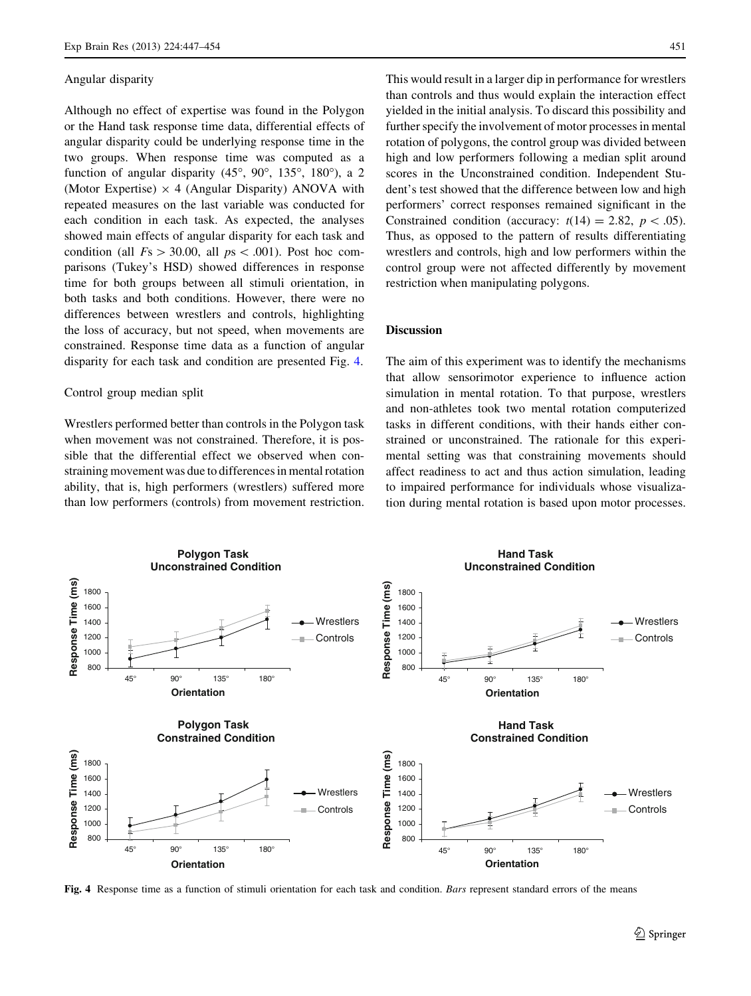#### Angular disparity

Although no effect of expertise was found in the Polygon or the Hand task response time data, differential effects of angular disparity could be underlying response time in the two groups. When response time was computed as a function of angular disparity  $(45^{\circ}, 90^{\circ}, 135^{\circ}, 180^{\circ})$ , a 2 (Motor Expertise)  $\times$  4 (Angular Disparity) ANOVA with repeated measures on the last variable was conducted for each condition in each task. As expected, the analyses showed main effects of angular disparity for each task and condition (all  $Fs > 30.00$ , all  $ps < .001$ ). Post hoc comparisons (Tukey's HSD) showed differences in response time for both groups between all stimuli orientation, in both tasks and both conditions. However, there were no differences between wrestlers and controls, highlighting the loss of accuracy, but not speed, when movements are constrained. Response time data as a function of angular disparity for each task and condition are presented Fig. 4.

## Control group median split

Wrestlers performed better than controls in the Polygon task when movement was not constrained. Therefore, it is possible that the differential effect we observed when constraining movement was due to differences in mental rotation ability, that is, high performers (wrestlers) suffered more than low performers (controls) from movement restriction.

This would result in a larger dip in performance for wrestlers than controls and thus would explain the interaction effect yielded in the initial analysis. To discard this possibility and further specify the involvement of motor processes in mental rotation of polygons, the control group was divided between high and low performers following a median split around scores in the Unconstrained condition. Independent Student's test showed that the difference between low and high performers' correct responses remained significant in the Constrained condition (accuracy:  $t(14) = 2.82, p \lt .05$ ). Thus, as opposed to the pattern of results differentiating wrestlers and controls, high and low performers within the control group were not affected differently by movement restriction when manipulating polygons.

# Discussion

The aim of this experiment was to identify the mechanisms that allow sensorimotor experience to influence action simulation in mental rotation. To that purpose, wrestlers and non-athletes took two mental rotation computerized tasks in different conditions, with their hands either constrained or unconstrained. The rationale for this experimental setting was that constraining movements should affect readiness to act and thus action simulation, leading to impaired performance for individuals whose visualization during mental rotation is based upon motor processes.



Fig. 4 Response time as a function of stimuli orientation for each task and condition. Bars represent standard errors of the means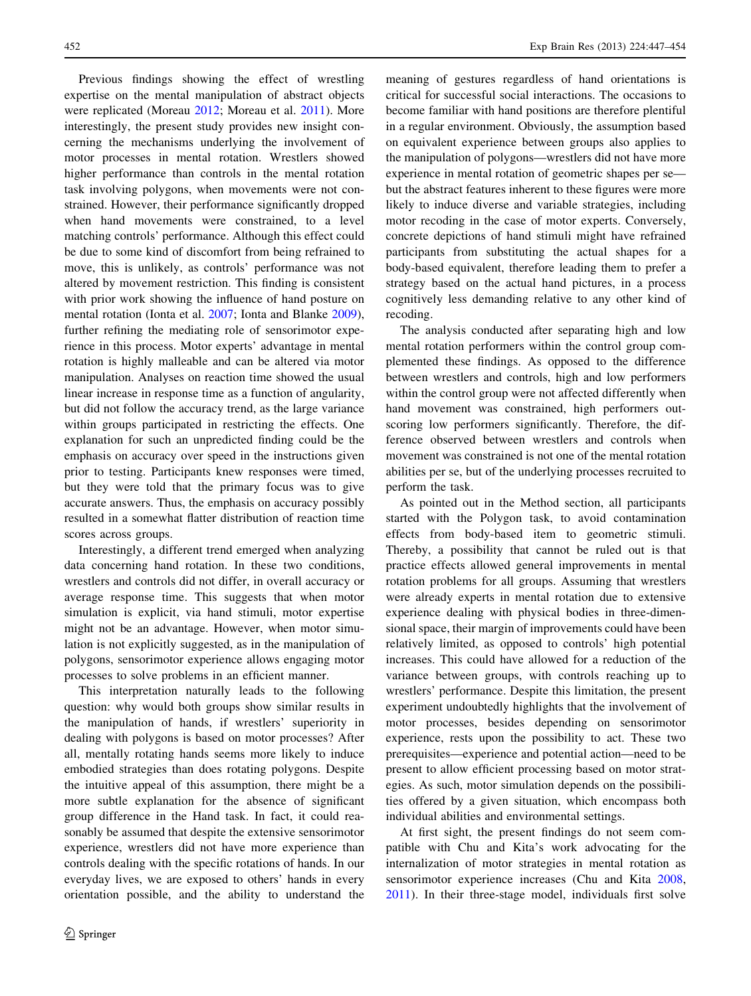Previous findings showing the effect of wrestling expertise on the mental manipulation of abstract objects were replicated (Moreau [2012](#page-7-0); Moreau et al. [2011](#page-7-0)). More interestingly, the present study provides new insight concerning the mechanisms underlying the involvement of motor processes in mental rotation. Wrestlers showed higher performance than controls in the mental rotation task involving polygons, when movements were not constrained. However, their performance significantly dropped when hand movements were constrained, to a level matching controls' performance. Although this effect could be due to some kind of discomfort from being refrained to move, this is unlikely, as controls' performance was not altered by movement restriction. This finding is consistent with prior work showing the influence of hand posture on mental rotation (Ionta et al. [2007](#page-6-0); Ionta and Blanke [2009](#page-6-0)), further refining the mediating role of sensorimotor experience in this process. Motor experts' advantage in mental rotation is highly malleable and can be altered via motor manipulation. Analyses on reaction time showed the usual linear increase in response time as a function of angularity, but did not follow the accuracy trend, as the large variance within groups participated in restricting the effects. One explanation for such an unpredicted finding could be the emphasis on accuracy over speed in the instructions given prior to testing. Participants knew responses were timed, but they were told that the primary focus was to give accurate answers. Thus, the emphasis on accuracy possibly resulted in a somewhat flatter distribution of reaction time scores across groups.

Interestingly, a different trend emerged when analyzing data concerning hand rotation. In these two conditions, wrestlers and controls did not differ, in overall accuracy or average response time. This suggests that when motor simulation is explicit, via hand stimuli, motor expertise might not be an advantage. However, when motor simulation is not explicitly suggested, as in the manipulation of polygons, sensorimotor experience allows engaging motor processes to solve problems in an efficient manner.

This interpretation naturally leads to the following question: why would both groups show similar results in the manipulation of hands, if wrestlers' superiority in dealing with polygons is based on motor processes? After all, mentally rotating hands seems more likely to induce embodied strategies than does rotating polygons. Despite the intuitive appeal of this assumption, there might be a more subtle explanation for the absence of significant group difference in the Hand task. In fact, it could reasonably be assumed that despite the extensive sensorimotor experience, wrestlers did not have more experience than controls dealing with the specific rotations of hands. In our everyday lives, we are exposed to others' hands in every orientation possible, and the ability to understand the meaning of gestures regardless of hand orientations is critical for successful social interactions. The occasions to become familiar with hand positions are therefore plentiful in a regular environment. Obviously, the assumption based on equivalent experience between groups also applies to the manipulation of polygons—wrestlers did not have more experience in mental rotation of geometric shapes per se but the abstract features inherent to these figures were more likely to induce diverse and variable strategies, including motor recoding in the case of motor experts. Conversely, concrete depictions of hand stimuli might have refrained participants from substituting the actual shapes for a body-based equivalent, therefore leading them to prefer a strategy based on the actual hand pictures, in a process cognitively less demanding relative to any other kind of recoding.

The analysis conducted after separating high and low mental rotation performers within the control group complemented these findings. As opposed to the difference between wrestlers and controls, high and low performers within the control group were not affected differently when hand movement was constrained, high performers outscoring low performers significantly. Therefore, the difference observed between wrestlers and controls when movement was constrained is not one of the mental rotation abilities per se, but of the underlying processes recruited to perform the task.

As pointed out in the Method section, all participants started with the Polygon task, to avoid contamination effects from body-based item to geometric stimuli. Thereby, a possibility that cannot be ruled out is that practice effects allowed general improvements in mental rotation problems for all groups. Assuming that wrestlers were already experts in mental rotation due to extensive experience dealing with physical bodies in three-dimensional space, their margin of improvements could have been relatively limited, as opposed to controls' high potential increases. This could have allowed for a reduction of the variance between groups, with controls reaching up to wrestlers' performance. Despite this limitation, the present experiment undoubtedly highlights that the involvement of motor processes, besides depending on sensorimotor experience, rests upon the possibility to act. These two prerequisites—experience and potential action—need to be present to allow efficient processing based on motor strategies. As such, motor simulation depends on the possibilities offered by a given situation, which encompass both individual abilities and environmental settings.

At first sight, the present findings do not seem compatible with Chu and Kita's work advocating for the internalization of motor strategies in mental rotation as sensorimotor experience increases (Chu and Kita [2008,](#page-6-0) [2011](#page-6-0)). In their three-stage model, individuals first solve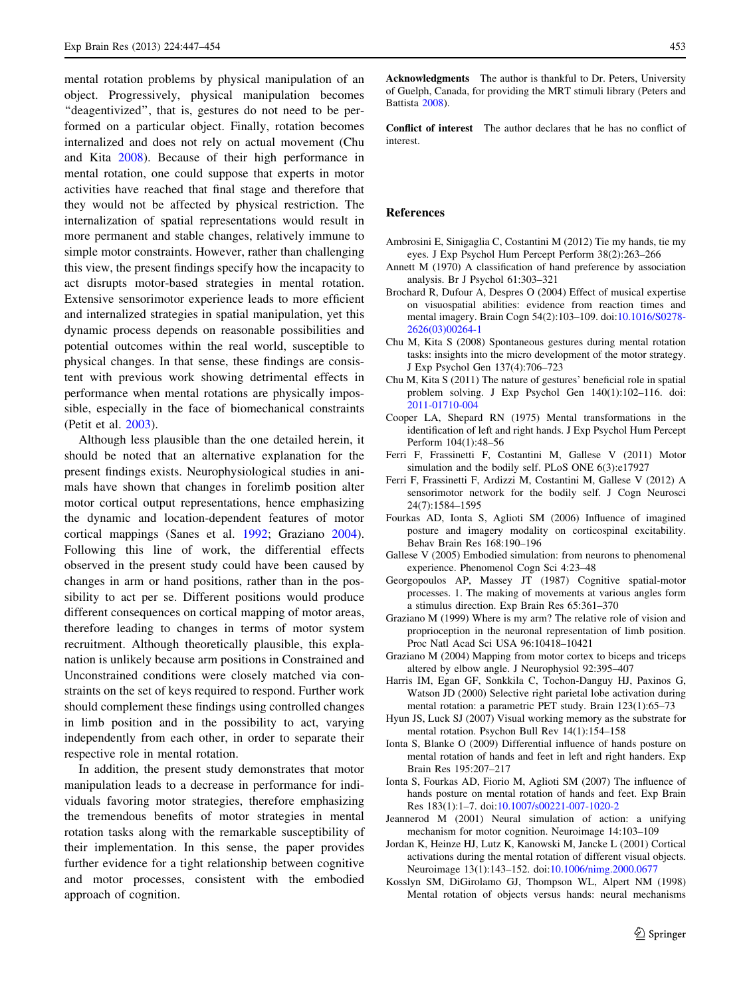<span id="page-6-0"></span>mental rotation problems by physical manipulation of an object. Progressively, physical manipulation becomes "deagentivized", that is, gestures do not need to be performed on a particular object. Finally, rotation becomes internalized and does not rely on actual movement (Chu and Kita 2008). Because of their high performance in mental rotation, one could suppose that experts in motor activities have reached that final stage and therefore that they would not be affected by physical restriction. The internalization of spatial representations would result in more permanent and stable changes, relatively immune to simple motor constraints. However, rather than challenging this view, the present findings specify how the incapacity to act disrupts motor-based strategies in mental rotation. Extensive sensorimotor experience leads to more efficient and internalized strategies in spatial manipulation, yet this dynamic process depends on reasonable possibilities and potential outcomes within the real world, susceptible to physical changes. In that sense, these findings are consistent with previous work showing detrimental effects in performance when mental rotations are physically impossible, especially in the face of biomechanical constraints (Petit et al. [2003\)](#page-7-0).

Although less plausible than the one detailed herein, it should be noted that an alternative explanation for the present findings exists. Neurophysiological studies in animals have shown that changes in forelimb position alter motor cortical output representations, hence emphasizing the dynamic and location-dependent features of motor cortical mappings (Sanes et al. [1992](#page-7-0); Graziano 2004). Following this line of work, the differential effects observed in the present study could have been caused by changes in arm or hand positions, rather than in the possibility to act per se. Different positions would produce different consequences on cortical mapping of motor areas, therefore leading to changes in terms of motor system recruitment. Although theoretically plausible, this explanation is unlikely because arm positions in Constrained and Unconstrained conditions were closely matched via constraints on the set of keys required to respond. Further work should complement these findings using controlled changes in limb position and in the possibility to act, varying independently from each other, in order to separate their respective role in mental rotation.

In addition, the present study demonstrates that motor manipulation leads to a decrease in performance for individuals favoring motor strategies, therefore emphasizing the tremendous benefits of motor strategies in mental rotation tasks along with the remarkable susceptibility of their implementation. In this sense, the paper provides further evidence for a tight relationship between cognitive and motor processes, consistent with the embodied approach of cognition.

Acknowledgments The author is thankful to Dr. Peters, University of Guelph, Canada, for providing the MRT stimuli library (Peters and Battista [2008\)](#page-7-0).

Conflict of interest The author declares that he has no conflict of interest.

### References

- Ambrosini E, Sinigaglia C, Costantini M (2012) Tie my hands, tie my eyes. J Exp Psychol Hum Percept Perform 38(2):263–266
- Annett M (1970) A classification of hand preference by association analysis. Br J Psychol 61:303–321
- Brochard R, Dufour A, Despres O (2004) Effect of musical expertise on visuospatial abilities: evidence from reaction times and mental imagery. Brain Cogn 54(2):103–109. doi:[10.1016/S0278-](http://dx.doi.org/10.1016/S0278-2626(03)00264-1) [2626\(03\)00264-1](http://dx.doi.org/10.1016/S0278-2626(03)00264-1)
- Chu M, Kita S (2008) Spontaneous gestures during mental rotation tasks: insights into the micro development of the motor strategy. J Exp Psychol Gen 137(4):706–723
- Chu M, Kita S (2011) The nature of gestures' beneficial role in spatial problem solving. J Exp Psychol Gen 140(1):102–116. doi: [2011-01710-004](http://dx.doi.org/2011-01710-004)
- Cooper LA, Shepard RN (1975) Mental transformations in the identification of left and right hands. J Exp Psychol Hum Percept Perform 104(1):48–56
- Ferri F, Frassinetti F, Costantini M, Gallese V (2011) Motor simulation and the bodily self. PLoS ONE 6(3):e17927
- Ferri F, Frassinetti F, Ardizzi M, Costantini M, Gallese V (2012) A sensorimotor network for the bodily self. J Cogn Neurosci 24(7):1584–1595
- Fourkas AD, Ionta S, Aglioti SM (2006) Influence of imagined posture and imagery modality on corticospinal excitability. Behav Brain Res 168:190–196
- Gallese V (2005) Embodied simulation: from neurons to phenomenal experience. Phenomenol Cogn Sci 4:23–48
- Georgopoulos AP, Massey JT (1987) Cognitive spatial-motor processes. 1. The making of movements at various angles form a stimulus direction. Exp Brain Res 65:361–370
- Graziano M (1999) Where is my arm? The relative role of vision and proprioception in the neuronal representation of limb position. Proc Natl Acad Sci USA 96:10418–10421
- Graziano M (2004) Mapping from motor cortex to biceps and triceps altered by elbow angle. J Neurophysiol 92:395–407
- Harris IM, Egan GF, Sonkkila C, Tochon-Danguy HJ, Paxinos G, Watson JD (2000) Selective right parietal lobe activation during mental rotation: a parametric PET study. Brain 123(1):65–73
- Hyun JS, Luck SJ (2007) Visual working memory as the substrate for mental rotation. Psychon Bull Rev 14(1):154–158
- Ionta S, Blanke O (2009) Differential influence of hands posture on mental rotation of hands and feet in left and right handers. Exp Brain Res 195:207–217
- Ionta S, Fourkas AD, Fiorio M, Aglioti SM (2007) The influence of hands posture on mental rotation of hands and feet. Exp Brain Res 183(1):1–7. doi:[10.1007/s00221-007-1020-2](http://dx.doi.org/10.1007/s00221-007-1020-2)
- Jeannerod M (2001) Neural simulation of action: a unifying mechanism for motor cognition. Neuroimage 14:103–109
- Jordan K, Heinze HJ, Lutz K, Kanowski M, Jancke L (2001) Cortical activations during the mental rotation of different visual objects. Neuroimage 13(1):143–152. doi:[10.1006/nimg.2000.0677](http://dx.doi.org/10.1006/nimg.2000.0677)
- Kosslyn SM, DiGirolamo GJ, Thompson WL, Alpert NM (1998) Mental rotation of objects versus hands: neural mechanisms